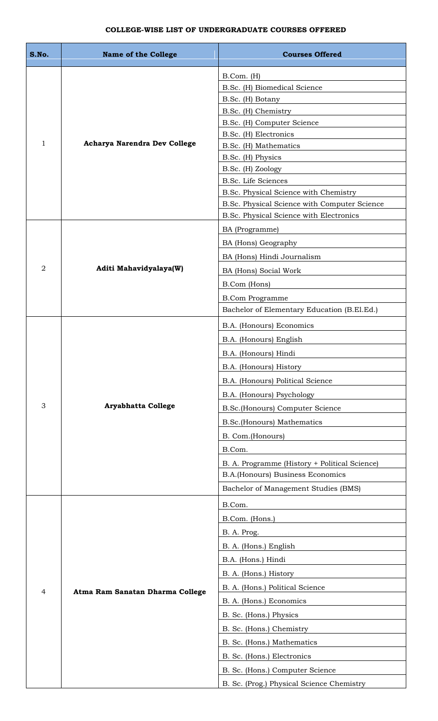## **COLLEGE-WISE LIST OF UNDERGRADUATE COURSES OFFERED**

| S.No.          | <b>Name of the College</b>      | <b>Courses Offered</b>                        |
|----------------|---------------------------------|-----------------------------------------------|
|                |                                 | B.Com. (H)<br>B.Sc. (H) Biomedical Science    |
|                |                                 | B.Sc. (H) Botany                              |
|                |                                 | B.Sc. (H) Chemistry                           |
|                |                                 | B.Sc. (H) Computer Science                    |
| $\mathbf{1}$   | Acharya Narendra Dev College    | B.Sc. (H) Electronics                         |
|                |                                 | B.Sc. (H) Mathematics<br>B.Sc. (H) Physics    |
|                |                                 | B.Sc. (H) Zoology                             |
|                |                                 | B.Sc. Life Sciences                           |
|                |                                 | B.Sc. Physical Science with Chemistry         |
|                |                                 | B.Sc. Physical Science with Computer Science  |
|                |                                 | B.Sc. Physical Science with Electronics       |
|                |                                 | BA (Programme)                                |
|                |                                 | BA (Hons) Geography                           |
|                |                                 | BA (Hons) Hindi Journalism                    |
| $\overline{2}$ | Aditi Mahavidyalaya(W)          | BA (Hons) Social Work                         |
|                |                                 | B.Com (Hons)                                  |
|                |                                 | <b>B.Com Programme</b>                        |
|                |                                 | Bachelor of Elementary Education (B.El.Ed.)   |
|                |                                 | B.A. (Honours) Economics                      |
|                |                                 | B.A. (Honours) English                        |
|                |                                 | B.A. (Honours) Hindi                          |
|                |                                 | B.A. (Honours) History                        |
|                |                                 | B.A. (Honours) Political Science              |
|                |                                 | B.A. (Honours) Psychology                     |
| 3              | <b>Aryabhatta College</b>       | B.Sc.(Honours) Computer Science               |
|                |                                 | <b>B.Sc.(Honours) Mathematics</b>             |
|                |                                 | B. Com.(Honours)                              |
|                |                                 | B.Com.                                        |
|                |                                 | B. A. Programme (History + Political Science) |
|                |                                 | B.A.(Honours) Business Economics              |
|                |                                 | Bachelor of Management Studies (BMS)          |
|                |                                 | B.Com.                                        |
|                |                                 | B.Com. (Hons.)                                |
|                |                                 | B. A. Prog.                                   |
|                |                                 | B. A. (Hons.) English                         |
|                |                                 | B.A. (Hons.) Hindi                            |
|                |                                 |                                               |
|                |                                 | B. A. (Hons.) History                         |
| $\overline{4}$ | Atma Ram Sanatan Dharma College | B. A. (Hons.) Political Science               |
|                |                                 | B. A. (Hons.) Economics                       |
|                |                                 | B. Sc. (Hons.) Physics                        |
|                |                                 | B. Sc. (Hons.) Chemistry                      |
|                |                                 | B. Sc. (Hons.) Mathematics                    |
|                |                                 | B. Sc. (Hons.) Electronics                    |
|                |                                 | B. Sc. (Hons.) Computer Science               |
|                |                                 | B. Sc. (Prog.) Physical Science Chemistry     |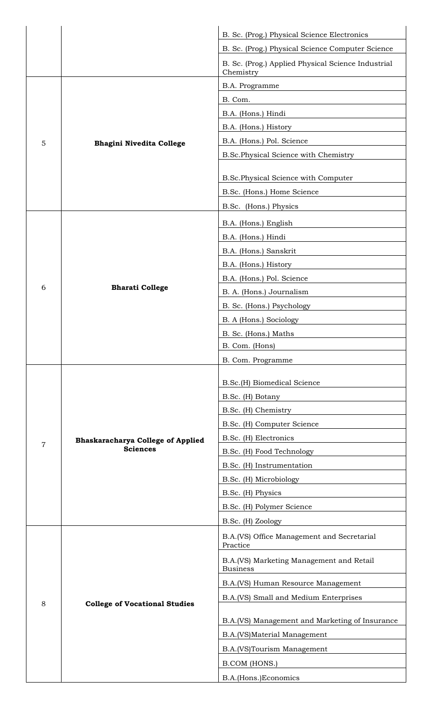|                |                                                             | B. Sc. (Prog.) Physical Science Electronics                     |
|----------------|-------------------------------------------------------------|-----------------------------------------------------------------|
|                |                                                             | B. Sc. (Prog.) Physical Science Computer Science                |
|                |                                                             | B. Sc. (Prog.) Applied Physical Science Industrial<br>Chemistry |
|                |                                                             | B.A. Programme                                                  |
|                |                                                             | B. Com.                                                         |
|                |                                                             | B.A. (Hons.) Hindi                                              |
|                |                                                             | B.A. (Hons.) History                                            |
| 5              | <b>Bhagini Nivedita College</b>                             | B.A. (Hons.) Pol. Science                                       |
|                |                                                             | B.Sc.Physical Science with Chemistry                            |
|                |                                                             |                                                                 |
|                |                                                             | B.Sc.Physical Science with Computer                             |
|                |                                                             | B.Sc. (Hons.) Home Science                                      |
|                |                                                             | B.Sc. (Hons.) Physics                                           |
|                |                                                             | B.A. (Hons.) English                                            |
|                |                                                             | B.A. (Hons.) Hindi                                              |
|                |                                                             | B.A. (Hons.) Sanskrit                                           |
|                |                                                             | B.A. (Hons.) History                                            |
|                |                                                             | B.A. (Hons.) Pol. Science                                       |
| 6              | <b>Bharati College</b>                                      | B. A. (Hons.) Journalism                                        |
|                |                                                             | B. Sc. (Hons.) Psychology                                       |
|                |                                                             | B. A (Hons.) Sociology                                          |
|                |                                                             | B. Sc. (Hons.) Maths                                            |
|                |                                                             | B. Com. (Hons)                                                  |
|                |                                                             | B. Com. Programme                                               |
|                | <b>Bhaskaracharya College of Applied</b><br><b>Sciences</b> |                                                                 |
|                |                                                             | B.Sc.(H) Biomedical Science                                     |
|                |                                                             | B.Sc. (H) Botany                                                |
|                |                                                             | B.Sc. (H) Chemistry                                             |
|                |                                                             | B.Sc. (H) Computer Science                                      |
| $\overline{7}$ |                                                             | B.Sc. (H) Electronics                                           |
|                |                                                             | B.Sc. (H) Food Technology                                       |
|                |                                                             | B.Sc. (H) Instrumentation                                       |
|                |                                                             | B.Sc. (H) Microbiology                                          |
|                |                                                             | B.Sc. (H) Physics                                               |
|                |                                                             | B.Sc. (H) Polymer Science                                       |
|                |                                                             | B.Sc. (H) Zoology                                               |
|                |                                                             | B.A.(VS) Office Management and Secretarial<br>Practice          |
|                | <b>College of Vocational Studies</b>                        | B.A.(VS) Marketing Management and Retail<br><b>Business</b>     |
|                |                                                             | B.A.(VS) Human Resource Management                              |
|                |                                                             | B.A.(VS) Small and Medium Enterprises                           |
| 8              |                                                             |                                                                 |
|                |                                                             | B.A.(VS) Management and Marketing of Insurance                  |
|                |                                                             |                                                                 |
|                |                                                             | B.A.(VS)Material Management                                     |
|                |                                                             | B.A.(VS)Tourism Management                                      |
|                |                                                             | B.COM (HONS.)                                                   |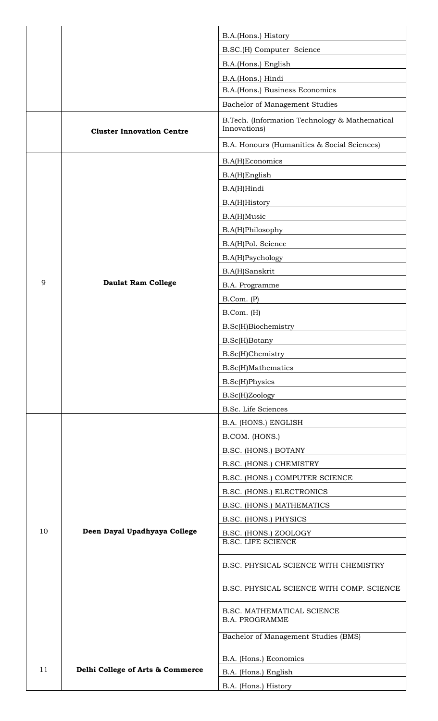|    |                                  | B.A.(Hons.) History                                            |
|----|----------------------------------|----------------------------------------------------------------|
|    |                                  | B.SC.(H) Computer Science                                      |
|    |                                  | B.A.(Hons.) English                                            |
|    |                                  | B.A.(Hons.) Hindi                                              |
|    |                                  | B.A.(Hons.) Business Economics                                 |
|    |                                  | Bachelor of Management Studies                                 |
|    | <b>Cluster Innovation Centre</b> | B.Tech. (Information Technology & Mathematical<br>Innovations) |
|    |                                  | B.A. Honours (Humanities & Social Sciences)                    |
|    |                                  | <b>B.A(H)Economics</b>                                         |
|    |                                  | <b>B.A(H)English</b>                                           |
|    |                                  | B.A(H)Hindi                                                    |
|    |                                  | <b>B.A(H)History</b>                                           |
|    |                                  | B.A(H)Music                                                    |
|    |                                  | B.A(H)Philosophy                                               |
|    |                                  | B.A(H)Pol. Science                                             |
|    |                                  | <b>B.A(H)Psychology</b>                                        |
|    |                                  | <b>B.A(H)Sanskrit</b>                                          |
| 9  | <b>Daulat Ram College</b>        | B.A. Programme                                                 |
|    |                                  | B. Com. (P)                                                    |
|    |                                  | B.Com. (H)                                                     |
|    |                                  | B.Sc(H)Biochemistry                                            |
|    |                                  | B.Sc(H)Botany                                                  |
|    |                                  | B.Sc(H)Chemistry                                               |
|    |                                  | <b>B.Sc(H)Mathematics</b>                                      |
|    |                                  | <b>B.Sc(H)Physics</b>                                          |
|    |                                  | B.Sc(H)Zoology                                                 |
|    |                                  | <b>B.Sc.</b> Life Sciences                                     |
|    |                                  | B.A. (HONS.) ENGLISH                                           |
|    |                                  | B.COM. (HONS.)                                                 |
|    |                                  | B.SC. (HONS.) BOTANY                                           |
|    |                                  | B.SC. (HONS.) CHEMISTRY                                        |
|    | Deen Dayal Upadhyaya College     | B.SC. (HONS.) COMPUTER SCIENCE                                 |
|    |                                  | B.SC. (HONS.) ELECTRONICS                                      |
|    |                                  | B.SC. (HONS.) MATHEMATICS                                      |
|    |                                  | B.SC. (HONS.) PHYSICS                                          |
| 10 |                                  | B.SC. (HONS.) ZOOLOGY<br><b>B.SC. LIFE SCIENCE</b>             |
|    |                                  | B.SC. PHYSICAL SCIENCE WITH CHEMISTRY                          |
|    |                                  | B.SC. PHYSICAL SCIENCE WITH COMP. SCIENCE                      |
|    |                                  | B.SC. MATHEMATICAL SCIENCE                                     |
|    |                                  | <b>B.A. PROGRAMME</b>                                          |
|    |                                  | Bachelor of Management Studies (BMS)                           |
|    |                                  | B.A. (Hons.) Economics                                         |
| 11 | Delhi College of Arts & Commerce | B.A. (Hons.) English                                           |
|    |                                  | B.A. (Hons.) History                                           |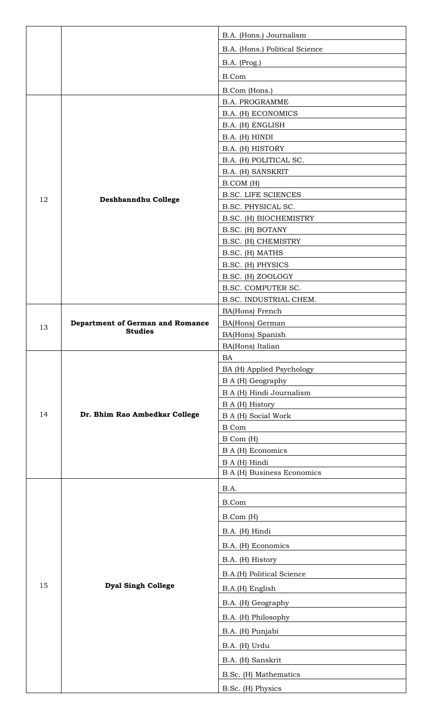|    |                                         | B.A. (Hons.) Journalism                 |
|----|-----------------------------------------|-----------------------------------------|
|    |                                         | B.A. (Hons.) Political Science          |
|    |                                         | B.A. (Prog.)                            |
|    |                                         | <b>B.Com</b>                            |
|    |                                         | B.Com (Hons.)                           |
|    |                                         | <b>B.A. PROGRAMME</b>                   |
|    |                                         | B.A. (H) ECONOMICS                      |
|    |                                         | B.A. (H) ENGLISH                        |
|    |                                         | B.A. (H) HINDI                          |
|    |                                         | B.A. (H) HISTORY                        |
|    |                                         | B.A. (H) POLITICAL SC.                  |
|    |                                         | B.A. (H) SANSKRIT                       |
|    |                                         | B.COM (H)                               |
| 12 | Deshbanndhu College                     | <b>B.SC. LIFE SCIENCES</b>              |
|    |                                         | B.SC. PHYSICAL SC.                      |
|    |                                         | B.SC. (H) BIOCHEMISTRY                  |
|    |                                         | B.SC. (H) BOTANY                        |
|    |                                         | B.SC. (H) CHEMISTRY                     |
|    |                                         | B.SC. (H) MATHS                         |
|    |                                         | B.SC. (H) PHYSICS                       |
|    |                                         | B.SC. (H) ZOOLOGY<br>B.SC. COMPUTER SC. |
|    |                                         | B.SC. INDUSTRIAL CHEM.                  |
|    |                                         | BA(Hons) French                         |
|    | <b>Department of German and Romance</b> | BA(Hons) German                         |
| 13 | <b>Studies</b>                          | BA(Hons) Spanish                        |
|    |                                         | BA(Hons) Italian                        |
|    |                                         | <b>BA</b>                               |
|    |                                         | BA (H) Applied Psychology               |
|    |                                         | B A (H) Geography                       |
|    |                                         | B A (H) Hindi Journalism                |
| 14 |                                         | B A (H) History                         |
|    | Dr. Bhim Rao Ambedkar College           | <b>B A (H) Social Work</b>              |
|    |                                         | <b>B</b> Com                            |
|    |                                         | B Com (H)<br><b>B A (H) Economics</b>   |
|    |                                         | B A (H) Hindi                           |
|    |                                         | <b>B A (H) Business Economics</b>       |
|    |                                         | B.A.                                    |
|    |                                         | B.Com                                   |
|    |                                         |                                         |
|    |                                         | B.Com (H)                               |
|    |                                         | B.A. (H) Hindi                          |
|    |                                         | B.A. (H) Economics                      |
|    |                                         | B.A. (H) History                        |
|    |                                         | B.A.(H) Political Science               |
| 15 | <b>Dyal Singh College</b>               | B.A.(H) English                         |
|    |                                         | B.A. (H) Geography                      |
|    |                                         |                                         |
|    |                                         | B.A. (H) Philosophy                     |
|    |                                         | B.A. (H) Punjabi                        |
|    |                                         | B.A. (H) Urdu                           |
|    |                                         | B.A. (H) Sanskrit                       |
|    |                                         | B.Sc. (H) Mathematics                   |
|    |                                         | B.Sc. (H) Physics                       |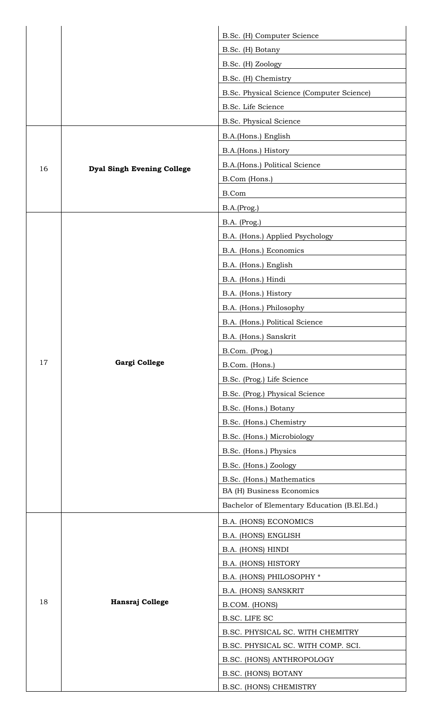|    |                                   | B.Sc. (H) Computer Science                  |
|----|-----------------------------------|---------------------------------------------|
|    |                                   | B.Sc. (H) Botany                            |
|    |                                   | B.Sc. (H) Zoology                           |
|    |                                   | B.Sc. (H) Chemistry                         |
|    |                                   | B.Sc. Physical Science (Computer Science)   |
|    |                                   | B.Sc. Life Science                          |
|    |                                   | <b>B.Sc. Physical Science</b>               |
|    |                                   | B.A.(Hons.) English                         |
|    |                                   | B.A.(Hons.) History                         |
|    |                                   | B.A.(Hons.) Political Science               |
| 16 | <b>Dyal Singh Evening College</b> | B.Com (Hons.)                               |
|    |                                   | B.Com                                       |
|    |                                   | B.A.(Prog.)                                 |
|    |                                   | B.A. (Prog.)                                |
|    |                                   | B.A. (Hons.) Applied Psychology             |
|    |                                   | B.A. (Hons.) Economics                      |
|    |                                   | B.A. (Hons.) English                        |
|    |                                   | B.A. (Hons.) Hindi                          |
|    |                                   | B.A. (Hons.) History                        |
|    |                                   | B.A. (Hons.) Philosophy                     |
|    |                                   | B.A. (Hons.) Political Science              |
|    |                                   | B.A. (Hons.) Sanskrit                       |
|    |                                   | B.Com. (Prog.)                              |
| 17 | Gargi College                     | B.Com. (Hons.)                              |
|    |                                   | B.Sc. (Prog.) Life Science                  |
|    |                                   | B.Sc. (Prog.) Physical Science              |
|    |                                   | B.Sc. (Hons.) Botany                        |
|    |                                   | B.Sc. (Hons.) Chemistry                     |
|    |                                   | B.Sc. (Hons.) Microbiology                  |
|    |                                   | B.Sc. (Hons.) Physics                       |
|    |                                   | B.Sc. (Hons.) Zoology                       |
|    |                                   | B.Sc. (Hons.) Mathematics                   |
|    |                                   | BA (H) Business Economics                   |
|    |                                   | Bachelor of Elementary Education (B.El.Ed.) |
|    |                                   | B.A. (HONS) ECONOMICS                       |
|    |                                   | B.A. (HONS) ENGLISH                         |
|    |                                   | B.A. (HONS) HINDI                           |
| 18 |                                   | B.A. (HONS) HISTORY                         |
|    |                                   | B.A. (HONS) PHILOSOPHY *                    |
|    |                                   | <b>B.A. (HONS) SANSKRIT</b>                 |
|    | Hansraj College                   | B.COM. (HONS)                               |
|    |                                   | <b>B.SC. LIFE SC</b>                        |
|    |                                   | B.SC. PHYSICAL SC. WITH CHEMITRY            |
|    |                                   | B.SC. PHYSICAL SC. WITH COMP. SCI.          |
|    |                                   | B.SC. (HONS) ANTHROPOLOGY                   |
|    |                                   | <b>B.SC. (HONS) BOTANY</b>                  |
|    |                                   | B.SC. (HONS) CHEMISTRY                      |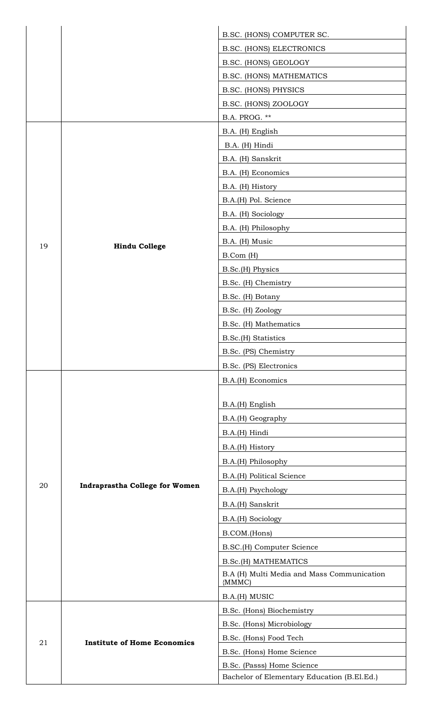|    |                                       | B.SC. (HONS) COMPUTER SC.                                                                                                                                                                                             |
|----|---------------------------------------|-----------------------------------------------------------------------------------------------------------------------------------------------------------------------------------------------------------------------|
|    |                                       | <b>B.SC. (HONS) ELECTRONICS</b>                                                                                                                                                                                       |
|    |                                       | B.SC. (HONS) GEOLOGY                                                                                                                                                                                                  |
|    |                                       | <b>B.SC. (HONS) MATHEMATICS</b>                                                                                                                                                                                       |
|    |                                       | B.SC. (HONS) PHYSICS                                                                                                                                                                                                  |
|    |                                       | B.SC. (HONS) ZOOLOGY                                                                                                                                                                                                  |
|    |                                       | B.A. PROG. **                                                                                                                                                                                                         |
|    |                                       | B.A. (H) English                                                                                                                                                                                                      |
|    |                                       | B.A. (H) Hindi                                                                                                                                                                                                        |
|    |                                       | B.A. (H) Sanskrit                                                                                                                                                                                                     |
|    |                                       | B.A. (H) Economics                                                                                                                                                                                                    |
|    |                                       | B.A. (H) History                                                                                                                                                                                                      |
|    |                                       | B.A.(H) Pol. Science                                                                                                                                                                                                  |
|    |                                       | B.A. (H) Sociology                                                                                                                                                                                                    |
|    |                                       | B.A. (H) Philosophy                                                                                                                                                                                                   |
| 19 | <b>Hindu College</b>                  | B.A. (H) Music                                                                                                                                                                                                        |
|    |                                       | B.Com (H)                                                                                                                                                                                                             |
|    |                                       | B.Sc.(H) Physics                                                                                                                                                                                                      |
|    |                                       | B.Sc. (H) Chemistry                                                                                                                                                                                                   |
|    |                                       | B.Sc. (H) Botany                                                                                                                                                                                                      |
|    |                                       | B.Sc. (H) Zoology                                                                                                                                                                                                     |
|    |                                       | B.Sc. (H) Mathematics                                                                                                                                                                                                 |
|    |                                       | B.Sc.(H) Statistics                                                                                                                                                                                                   |
|    |                                       | B.Sc. (PS) Chemistry                                                                                                                                                                                                  |
|    |                                       | B.Sc. (PS) Electronics                                                                                                                                                                                                |
|    |                                       | B.A.(H) Economics                                                                                                                                                                                                     |
|    |                                       |                                                                                                                                                                                                                       |
|    | <b>Indraprastha College for Women</b> | B.A.(H) English                                                                                                                                                                                                       |
|    |                                       | B.A.(H) Geography                                                                                                                                                                                                     |
|    |                                       | B.A.(H) Hindi                                                                                                                                                                                                         |
|    |                                       | B.A.(H) History                                                                                                                                                                                                       |
|    |                                       | B.A.(H) Philosophy                                                                                                                                                                                                    |
|    |                                       | B.A.(H) Political Science                                                                                                                                                                                             |
|    |                                       | B.A.(H) Psychology                                                                                                                                                                                                    |
|    |                                       | B.A.(H) Sanskrit                                                                                                                                                                                                      |
|    |                                       | B.A.(H) Sociology                                                                                                                                                                                                     |
|    |                                       | B.COM.(Hons)                                                                                                                                                                                                          |
|    |                                       | B.SC.(H) Computer Science                                                                                                                                                                                             |
|    |                                       | <b>B.Sc.(H) MATHEMATICS</b>                                                                                                                                                                                           |
|    |                                       | B.A (H) Multi Media and Mass Communication                                                                                                                                                                            |
|    |                                       |                                                                                                                                                                                                                       |
| 21 |                                       |                                                                                                                                                                                                                       |
|    |                                       |                                                                                                                                                                                                                       |
|    |                                       |                                                                                                                                                                                                                       |
|    | <b>Institute of Home Economics</b>    |                                                                                                                                                                                                                       |
|    |                                       |                                                                                                                                                                                                                       |
|    |                                       |                                                                                                                                                                                                                       |
| 20 |                                       | {MMMC)<br>B.A.(H) MUSIC<br>B.Sc. (Hons) Biochemistry<br>B.Sc. (Hons) Microbiology<br>B.Sc. (Hons) Food Tech<br>B.Sc. (Hons) Home Science<br>B.Sc. (Passs) Home Science<br>Bachelor of Elementary Education (B.El.Ed.) |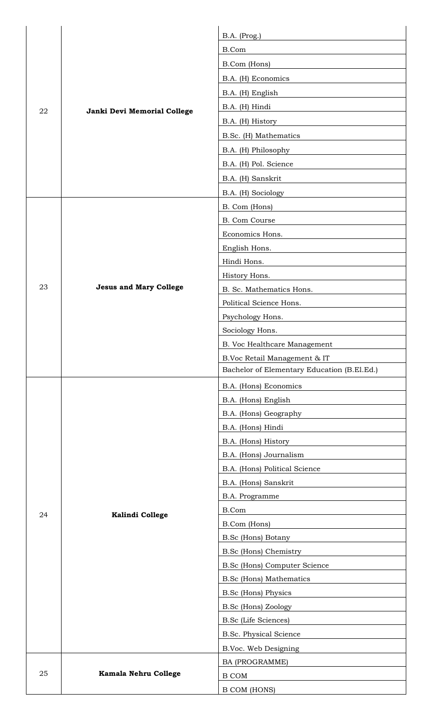|    |                               | B.A. (Prog.)                                |
|----|-------------------------------|---------------------------------------------|
|    |                               | B.Com                                       |
|    |                               | B.Com (Hons)                                |
|    |                               | B.A. (H) Economics                          |
|    |                               | B.A. (H) English                            |
| 22 |                               | B.A. (H) Hindi                              |
|    | Janki Devi Memorial College   | B.A. (H) History                            |
|    |                               | B.Sc. (H) Mathematics                       |
|    |                               | B.A. (H) Philosophy                         |
|    |                               | B.A. (H) Pol. Science                       |
|    |                               | B.A. (H) Sanskrit                           |
|    |                               | B.A. (H) Sociology                          |
|    |                               | B. Com (Hons)                               |
|    |                               | B. Com Course                               |
|    |                               | Economics Hons.                             |
|    |                               | English Hons.                               |
|    |                               | Hindi Hons.                                 |
|    |                               | History Hons.                               |
| 23 | <b>Jesus and Mary College</b> | B. Sc. Mathematics Hons.                    |
|    |                               | Political Science Hons.                     |
|    |                               | Psychology Hons.                            |
|    |                               | Sociology Hons.                             |
|    |                               | B. Voc Healthcare Management                |
|    |                               | B.Voc Retail Management & IT                |
|    |                               | Bachelor of Elementary Education (B.El.Ed.) |
|    |                               | B.A. (Hons) Economics                       |
|    |                               | B.A. (Hons) English                         |
|    |                               | B.A. (Hons) Geography                       |
|    |                               | B.A. (Hons) Hindi                           |
|    |                               | B.A. (Hons) History                         |
|    |                               | B.A. (Hons) Journalism                      |
|    |                               | B.A. (Hons) Political Science               |
|    |                               | B.A. (Hons) Sanskrit                        |
|    |                               | B.A. Programme                              |
| 24 | Kalindi College               | B.Com                                       |
|    |                               | B.Com (Hons)                                |
|    |                               | B.Sc (Hons) Botany                          |
|    |                               | <b>B.Sc (Hons) Chemistry</b>                |
|    |                               | <b>B.Sc (Hons) Computer Science</b>         |
|    |                               | <b>B.Sc</b> (Hons) Mathematics              |
|    |                               | <b>B.Sc</b> (Hons) Physics                  |
|    |                               | B.Sc (Hons) Zoology                         |
|    |                               | <b>B.Sc</b> (Life Sciences)                 |
|    |                               | <b>B.Sc. Physical Science</b>               |
|    |                               | B.Voc. Web Designing                        |
|    |                               | BA (PROGRAMME)                              |
| 25 | <b>Kamala Nehru College</b>   | <b>B COM</b>                                |
|    |                               | <b>B COM (HONS)</b>                         |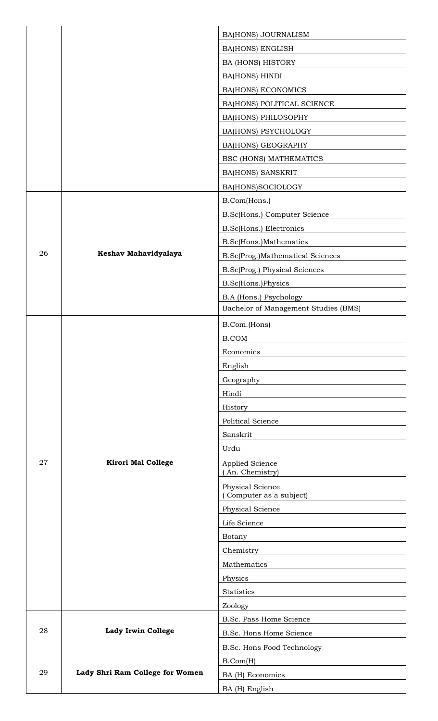|    |                                 | <b>BA(HONS) JOURNALISM</b>                  |
|----|---------------------------------|---------------------------------------------|
|    |                                 | <b>BA(HONS) ENGLISH</b>                     |
|    |                                 | <b>BA (HONS) HISTORY</b>                    |
|    |                                 | BA(HONS) HINDI                              |
|    |                                 | <b>BA(HONS) ECONOMICS</b>                   |
|    |                                 | BA(HONS) POLITICAL SCIENCE                  |
|    |                                 | <b>BA(HONS) PHILOSOPHY</b>                  |
|    |                                 | <b>BA(HONS) PSYCHOLOGY</b>                  |
|    |                                 | <b>BA(HONS) GEOGRAPHY</b>                   |
|    |                                 | <b>BSC (HONS) MATHEMATICS</b>               |
|    |                                 | <b>BA(HONS) SANSKRIT</b>                    |
|    |                                 | BA(HONS)SOCIOLOGY                           |
|    |                                 | B.Com(Hons.)                                |
|    |                                 | B.Sc(Hons.) Computer Science                |
|    |                                 | B.Sc(Hons.) Electronics                     |
|    |                                 | B.Sc(Hons.)Mathematics                      |
| 26 | Keshav Mahavidyalaya            | B.Sc(Prog.)Mathematical Sciences            |
|    |                                 | B.Sc(Prog.) Physical Sciences               |
|    |                                 | B.Sc(Hons.)Physics                          |
|    |                                 | B.A (Hons.) Psychology                      |
|    |                                 | Bachelor of Management Studies (BMS)        |
|    |                                 | B.Com.(Hons)                                |
|    |                                 | <b>B.COM</b>                                |
|    |                                 | Economics                                   |
|    | <b>Kirori Mal College</b>       | English                                     |
|    |                                 | Geography                                   |
|    |                                 | Hindi                                       |
|    |                                 | History                                     |
|    |                                 | Political Science                           |
|    |                                 | Sanskrit                                    |
|    |                                 | Urdu                                        |
| 27 |                                 | Applied Science                             |
|    |                                 | (An. Chemistry)                             |
|    |                                 | Physical Science<br>(Computer as a subject) |
|    |                                 | Physical Science                            |
|    |                                 | Life Science                                |
|    |                                 | Botany                                      |
|    |                                 | Chemistry                                   |
|    |                                 | Mathematics                                 |
|    |                                 | Physics                                     |
|    |                                 | <b>Statistics</b>                           |
|    |                                 | Zoology                                     |
|    |                                 | B.Sc. Pass Home Science                     |
| 28 | <b>Lady Irwin College</b>       | B.Sc. Hons Home Science                     |
|    |                                 | B.Sc. Hons Food Technology                  |
| 29 |                                 | B.Com(H)                                    |
|    | Lady Shri Ram College for Women | BA (H) Economics                            |
|    |                                 | BA (H) English                              |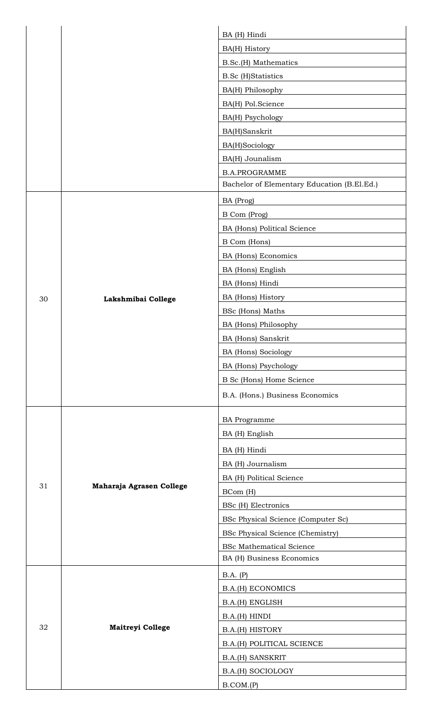|    |                          | BA (H) Hindi                                |
|----|--------------------------|---------------------------------------------|
|    |                          | BA(H) History                               |
|    |                          | B.Sc.(H) Mathematics                        |
|    |                          | <b>B.Sc</b> (H)Statistics                   |
|    |                          | BA(H) Philosophy                            |
|    |                          | BA(H) Pol.Science                           |
|    |                          | BA(H) Psychology                            |
|    |                          | BA(H)Sanskrit                               |
|    |                          | BA(H)Sociology                              |
|    |                          | BA(H) Jounalism                             |
|    |                          | <b>B.A.PROGRAMME</b>                        |
|    |                          | Bachelor of Elementary Education (B.El.Ed.) |
|    |                          | BA (Prog)                                   |
|    |                          | B Com (Prog)                                |
|    |                          | BA (Hons) Political Science                 |
|    |                          | B Com (Hons)                                |
|    |                          | BA (Hons) Economics                         |
|    |                          | BA (Hons) English                           |
|    |                          | BA (Hons) Hindi                             |
| 30 |                          | BA (Hons) History                           |
|    | Lakshmibai College       | BSc (Hons) Maths                            |
|    |                          | BA (Hons) Philosophy                        |
|    |                          | BA (Hons) Sanskrit                          |
|    |                          | BA (Hons) Sociology                         |
|    |                          | BA (Hons) Psychology                        |
|    |                          | B Sc (Hons) Home Science                    |
|    |                          | B.A. (Hons.) Business Economics             |
|    |                          |                                             |
|    |                          | <b>BA</b> Programme                         |
|    |                          | BA (H) English                              |
|    |                          | BA (H) Hindi                                |
|    |                          | BA (H) Journalism                           |
|    |                          | BA (H) Political Science                    |
| 31 | Maharaja Agrasen College | BCom (H)                                    |
|    |                          | BSc (H) Electronics                         |
|    |                          | BSc Physical Science (Computer Sc)          |
|    |                          | <b>BSc Physical Science (Chemistry)</b>     |
|    |                          | <b>BSc Mathematical Science</b>             |
|    |                          | BA (H) Business Economics                   |
|    |                          | B.A. (P)                                    |
| 32 | <b>Maitreyi College</b>  | <b>B.A.(H) ECONOMICS</b>                    |
|    |                          | B.A.(H) ENGLISH                             |
|    |                          | B.A.(H) HINDI                               |
|    |                          | B.A.(H) HISTORY                             |
|    |                          | B.A.(H) POLITICAL SCIENCE                   |
|    |                          | <b>B.A.(H) SANSKRIT</b>                     |
|    |                          | <b>B.A.(H) SOCIOLOGY</b>                    |
|    |                          | B. COM.(P)                                  |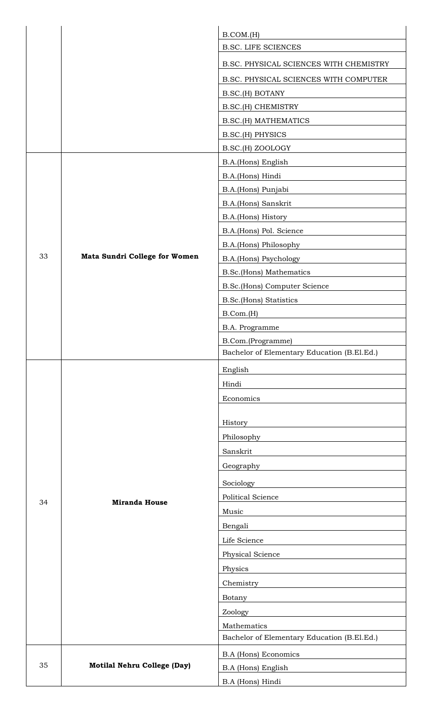|    |                                      | B. COM.(H)                                  |
|----|--------------------------------------|---------------------------------------------|
|    |                                      | <b>B.SC. LIFE SCIENCES</b>                  |
|    |                                      | B.SC. PHYSICAL SCIENCES WITH CHEMISTRY      |
|    |                                      | B.SC. PHYSICAL SCIENCES WITH COMPUTER       |
|    |                                      | B.SC.(H) BOTANY                             |
|    |                                      | B.SC.(H) CHEMISTRY                          |
|    |                                      | <b>B.SC.(H) MATHEMATICS</b>                 |
|    |                                      | <b>B.SC.(H) PHYSICS</b>                     |
|    |                                      | B.SC.(H) ZOOLOGY                            |
|    |                                      | B.A.(Hons) English                          |
|    |                                      | B.A.(Hons) Hindi                            |
|    |                                      | B.A.(Hons) Punjabi                          |
|    |                                      | B.A.(Hons) Sanskrit                         |
|    |                                      | B.A.(Hons) History                          |
|    |                                      | B.A.(Hons) Pol. Science                     |
|    |                                      | B.A.(Hons) Philosophy                       |
| 33 | <b>Mata Sundri College for Women</b> | B.A.(Hons) Psychology                       |
|    |                                      | <b>B.Sc.(Hons) Mathematics</b>              |
|    |                                      | B.Sc.(Hons) Computer Science                |
|    |                                      | <b>B.Sc.(Hons) Statistics</b>               |
|    |                                      | B.Com.(H)                                   |
|    |                                      | B.A. Programme                              |
|    |                                      | B.Com.(Programme)                           |
|    |                                      | Bachelor of Elementary Education (B.El.Ed.) |
|    |                                      | English                                     |
|    |                                      | Hindi                                       |
|    |                                      | Economics                                   |
|    |                                      |                                             |
|    |                                      | History                                     |
|    |                                      | Philosophy                                  |
|    |                                      | Sanskrit                                    |
|    |                                      | Geography                                   |
|    |                                      | Sociology                                   |
| 34 | <b>Miranda House</b>                 | Political Science                           |
|    |                                      | Music                                       |
|    |                                      | Bengali                                     |
|    |                                      | Life Science                                |
|    |                                      | Physical Science                            |
|    |                                      | Physics                                     |
|    |                                      | Chemistry                                   |
|    |                                      | Botany                                      |
|    |                                      | Zoology                                     |
|    |                                      | Mathematics                                 |
|    |                                      | Bachelor of Elementary Education (B.El.Ed.) |
|    |                                      | <b>B.A (Hons) Economics</b>                 |
| 35 | Motilal Nehru College (Day)          | B.A (Hons) English                          |
|    |                                      | B.A (Hons) Hindi                            |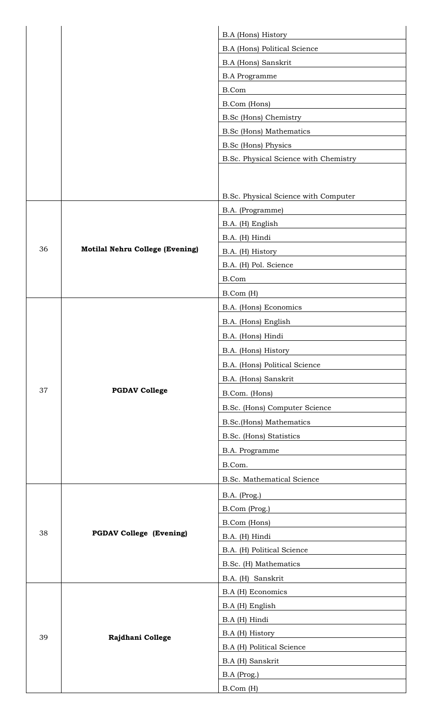|    |                                        | <b>B.A</b> (Hons) History             |
|----|----------------------------------------|---------------------------------------|
|    |                                        | <b>B.A (Hons) Political Science</b>   |
|    |                                        | B.A (Hons) Sanskrit                   |
|    |                                        | <b>B.A Programme</b>                  |
|    |                                        | B.Com                                 |
|    |                                        | B.Com (Hons)                          |
|    |                                        | <b>B.Sc (Hons) Chemistry</b>          |
|    |                                        | <b>B.Sc</b> (Hons) Mathematics        |
|    |                                        | <b>B.Sc</b> (Hons) Physics            |
|    |                                        | B.Sc. Physical Science with Chemistry |
|    |                                        |                                       |
|    |                                        |                                       |
|    |                                        | B.Sc. Physical Science with Computer  |
|    |                                        | B.A. (Programme)                      |
|    |                                        | B.A. (H) English                      |
|    |                                        | B.A. (H) Hindi                        |
| 36 | <b>Motilal Nehru College (Evening)</b> | B.A. (H) History                      |
|    |                                        | B.A. (H) Pol. Science                 |
|    |                                        | B.Com                                 |
|    |                                        | B.Com (H)                             |
|    |                                        | B.A. (Hons) Economics                 |
|    |                                        | B.A. (Hons) English                   |
|    |                                        | B.A. (Hons) Hindi                     |
|    |                                        | B.A. (Hons) History                   |
|    |                                        | B.A. (Hons) Political Science         |
|    |                                        | B.A. (Hons) Sanskrit                  |
| 37 | <b>PGDAV College</b>                   | B.Com. (Hons)                         |
|    |                                        | B.Sc. (Hons) Computer Science         |
|    |                                        | B.Sc.(Hons) Mathematics               |
|    |                                        | B.Sc. (Hons) Statistics               |
|    |                                        | B.A. Programme                        |
|    |                                        | B.Com.                                |
|    |                                        | <b>B.Sc. Mathematical Science</b>     |
|    | <b>PGDAV College (Evening)</b>         | B.A. (Prog.)                          |
|    |                                        | B.Com (Prog.)                         |
|    |                                        | B.Com (Hons)                          |
| 38 |                                        | B.A. (H) Hindi                        |
|    |                                        | B.A. (H) Political Science            |
|    |                                        | B.Sc. (H) Mathematics                 |
|    |                                        | B.A. (H) Sanskrit                     |
|    |                                        | B.A (H) Economics                     |
| 39 | Rajdhani College                       | B.A (H) English                       |
|    |                                        | B.A (H) Hindi                         |
|    |                                        | B.A (H) History                       |
|    |                                        | B.A (H) Political Science             |
|    |                                        | B.A (H) Sanskrit                      |
|    |                                        | B.A (Prog.)                           |
|    |                                        | B.Com (H)                             |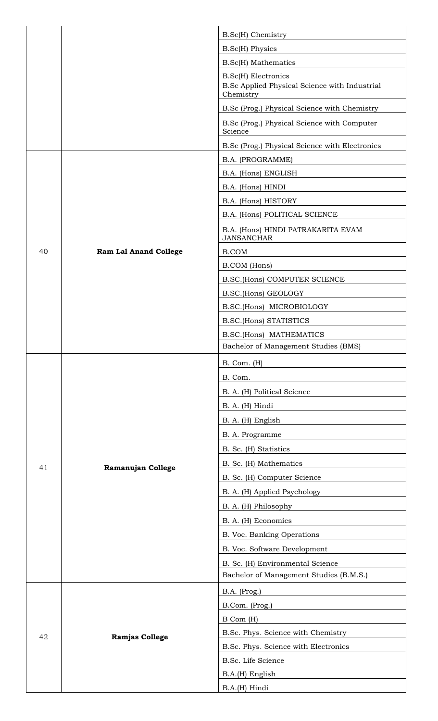|    |                              | B.Sc(H) Chemistry                                          |
|----|------------------------------|------------------------------------------------------------|
|    |                              | <b>B.Sc(H)</b> Physics                                     |
|    |                              | <b>B.Sc(H)</b> Mathematics                                 |
|    |                              | <b>B.Sc(H)</b> Electronics                                 |
|    |                              | B.Sc Applied Physical Science with Industrial<br>Chemistry |
|    |                              | B.Sc (Prog.) Physical Science with Chemistry               |
|    |                              | B.Sc (Prog.) Physical Science with Computer<br>Science     |
|    |                              | B.Sc (Prog.) Physical Science with Electronics             |
|    |                              | B.A. (PROGRAMME)                                           |
|    |                              | B.A. (Hons) ENGLISH                                        |
|    |                              | B.A. (Hons) HINDI                                          |
|    |                              | B.A. (Hons) HISTORY                                        |
|    |                              | B.A. (Hons) POLITICAL SCIENCE                              |
|    |                              | B.A. (Hons) HINDI PATRAKARITA EVAM<br><b>JANSANCHAR</b>    |
| 40 | <b>Ram Lal Anand College</b> | <b>B.COM</b>                                               |
|    |                              | <b>B.COM</b> (Hons)                                        |
|    |                              | <b>B.SC.(Hons) COMPUTER SCIENCE</b>                        |
|    |                              | B.SC.(Hons) GEOLOGY                                        |
|    |                              | B.SC.(Hons) MICROBIOLOGY                                   |
|    |                              | <b>B.SC.(Hons) STATISTICS</b>                              |
|    |                              | B.SC.(Hons) MATHEMATICS                                    |
|    |                              | Bachelor of Management Studies (BMS)                       |
|    |                              | $B.$ Com. $(H)$                                            |
|    |                              | B. Com.                                                    |
|    |                              | B. A. (H) Political Science                                |
|    |                              | B. A. (H) Hindi                                            |
|    |                              | B. A. (H) English                                          |
|    |                              | B. A. Programme                                            |
|    |                              | B. Sc. (H) Statistics                                      |
| 41 | Ramanujan College            | B. Sc. (H) Mathematics                                     |
|    |                              | B. Sc. (H) Computer Science                                |
|    |                              | B. A. (H) Applied Psychology                               |
|    |                              | B. A. (H) Philosophy                                       |
|    |                              | B. A. (H) Economics                                        |
|    |                              | B. Voc. Banking Operations                                 |
|    |                              | B. Voc. Software Development                               |
|    |                              | B. Sc. (H) Environmental Science                           |
|    |                              | Bachelor of Management Studies (B.M.S.)                    |
|    |                              | B.A. (Prog.)                                               |
| 42 | <b>Ramjas College</b>        | B.Com. (Prog.)                                             |
|    |                              | B Com (H)                                                  |
|    |                              | B.Sc. Phys. Science with Chemistry                         |
|    |                              | B.Sc. Phys. Science with Electronics                       |
|    |                              | B.Sc. Life Science                                         |
|    |                              | B.A.(H) English                                            |
|    |                              | B.A.(H) Hindi                                              |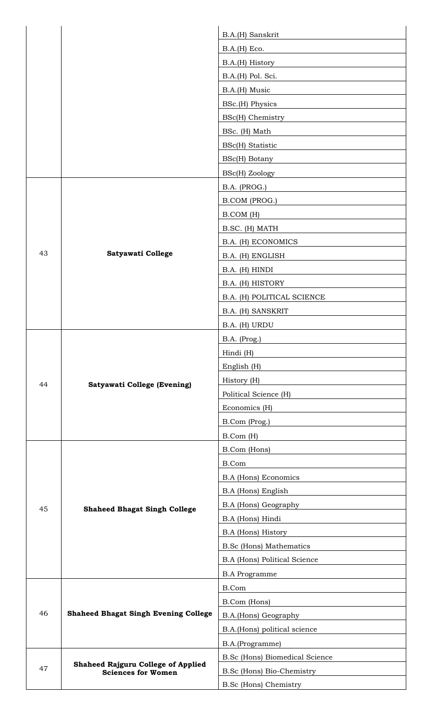|    |                                                                                    | B.A.(H) Sanskrit                      |
|----|------------------------------------------------------------------------------------|---------------------------------------|
|    |                                                                                    | B.A.(H) Eco.                          |
|    |                                                                                    | B.A.(H) History                       |
|    |                                                                                    | B.A.(H) Pol. Sci.                     |
|    |                                                                                    | B.A.(H) Music                         |
|    |                                                                                    | BSc.(H) Physics                       |
|    |                                                                                    | BSc(H) Chemistry                      |
|    |                                                                                    | BSc. (H) Math                         |
|    |                                                                                    | BSc(H) Statistic                      |
|    |                                                                                    | $BSc(H)$ Botany                       |
|    |                                                                                    | BSc(H) Zoology                        |
|    |                                                                                    | B.A. (PROG.)                          |
|    |                                                                                    | B.COM (PROG.)                         |
|    |                                                                                    | B.COM (H)                             |
|    |                                                                                    | B.SC. (H) MATH                        |
|    |                                                                                    | B.A. (H) ECONOMICS                    |
| 43 | Satyawati College                                                                  | B.A. (H) ENGLISH                      |
|    |                                                                                    | B.A. (H) HINDI                        |
|    |                                                                                    | B.A. (H) HISTORY                      |
|    |                                                                                    | B.A. (H) POLITICAL SCIENCE            |
|    |                                                                                    | B.A. (H) SANSKRIT                     |
|    |                                                                                    | B.A. (H) URDU                         |
|    |                                                                                    | B.A. (Prog.)                          |
|    |                                                                                    | Hindi (H)                             |
|    |                                                                                    | English (H)                           |
| 44 | <b>Satyawati College (Evening)</b>                                                 | History (H)                           |
|    |                                                                                    | Political Science (H)                 |
|    |                                                                                    | Economics (H)                         |
|    |                                                                                    | B.Com (Prog.)                         |
|    |                                                                                    | B.Com (H)                             |
|    | <b>Shaheed Bhagat Singh College</b><br><b>Shaheed Bhagat Singh Evening College</b> | B.Com (Hons)                          |
|    |                                                                                    | B.Com                                 |
|    |                                                                                    | <b>B.A</b> (Hons) Economics           |
|    |                                                                                    | B.A (Hons) English                    |
| 45 |                                                                                    | B.A (Hons) Geography                  |
|    |                                                                                    | B.A (Hons) Hindi                      |
|    |                                                                                    | B.A (Hons) History                    |
|    |                                                                                    | <b>B.Sc (Hons) Mathematics</b>        |
|    |                                                                                    | <b>B.A (Hons) Political Science</b>   |
|    |                                                                                    | <b>B.A Programme</b>                  |
| 46 |                                                                                    | B.Com                                 |
|    |                                                                                    | B.Com (Hons)                          |
|    |                                                                                    | B.A.(Hons) Geography                  |
|    |                                                                                    | B.A.(Hons) political science          |
| 47 | <b>Shaheed Rajguru College of Applied</b><br><b>Sciences for Women</b>             | B.A.(Programme)                       |
|    |                                                                                    | <b>B.Sc (Hons) Biomedical Science</b> |
|    |                                                                                    | B.Sc (Hons) Bio-Chemistry             |
|    |                                                                                    | <b>B.Sc (Hons) Chemistry</b>          |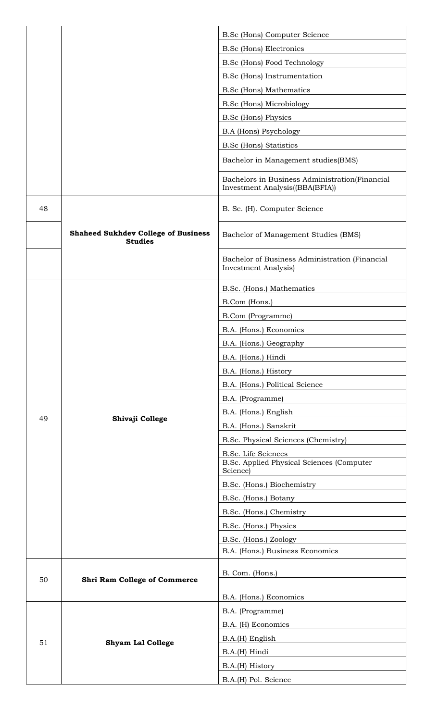|    |                                                              | B.Sc (Hons) Computer Science                                                      |
|----|--------------------------------------------------------------|-----------------------------------------------------------------------------------|
|    |                                                              | <b>B.Sc (Hons) Electronics</b>                                                    |
|    |                                                              | B.Sc (Hons) Food Technology                                                       |
|    |                                                              | B.Sc (Hons) Instrumentation                                                       |
|    |                                                              | <b>B.Sc</b> (Hons) Mathematics                                                    |
|    |                                                              | <b>B.Sc (Hons) Microbiology</b>                                                   |
|    |                                                              | <b>B.Sc</b> (Hons) Physics                                                        |
|    |                                                              | <b>B.A (Hons) Psychology</b>                                                      |
|    |                                                              | <b>B.Sc (Hons) Statistics</b>                                                     |
|    |                                                              | Bachelor in Management studies(BMS)                                               |
|    |                                                              | Bachelors in Business Administration(Financial<br>Investment Analysis((BBA(BFIA)) |
| 48 |                                                              | B. Sc. (H). Computer Science                                                      |
|    | <b>Shaheed Sukhdev College of Business</b><br><b>Studies</b> | Bachelor of Management Studies (BMS)                                              |
|    |                                                              | Bachelor of Business Administration (Financial<br><b>Investment Analysis</b> )    |
|    |                                                              | B.Sc. (Hons.) Mathematics                                                         |
|    |                                                              | B.Com (Hons.)                                                                     |
|    |                                                              | <b>B.Com</b> (Programme)                                                          |
|    |                                                              | B.A. (Hons.) Economics                                                            |
|    |                                                              | B.A. (Hons.) Geography                                                            |
|    |                                                              | B.A. (Hons.) Hindi                                                                |
|    |                                                              | B.A. (Hons.) History                                                              |
|    |                                                              | B.A. (Hons.) Political Science                                                    |
|    |                                                              | B.A. (Programme)                                                                  |
| 49 | Shivaji College                                              | B.A. (Hons.) English                                                              |
|    |                                                              | B.A. (Hons.) Sanskrit                                                             |
|    |                                                              | B.Sc. Physical Sciences (Chemistry)                                               |
|    |                                                              | B.Sc. Life Sciences                                                               |
|    |                                                              | B.Sc. Applied Physical Sciences (Computer<br>Science)                             |
|    |                                                              | B.Sc. (Hons.) Biochemistry                                                        |
|    |                                                              | B.Sc. (Hons.) Botany                                                              |
|    |                                                              | B.Sc. (Hons.) Chemistry                                                           |
|    |                                                              | B.Sc. (Hons.) Physics                                                             |
|    |                                                              | B.Sc. (Hons.) Zoology                                                             |
|    |                                                              | B.A. (Hons.) Business Economics                                                   |
| 50 | <b>Shri Ram College of Commerce</b>                          | B. Com. (Hons.)                                                                   |
|    |                                                              | B.A. (Hons.) Economics                                                            |
|    | <b>Shyam Lal College</b>                                     | B.A. (Programme)                                                                  |
|    |                                                              | B.A. (H) Economics                                                                |
| 51 |                                                              | B.A.(H) English                                                                   |
|    |                                                              | B.A.(H) Hindi                                                                     |
|    |                                                              | B.A.(H) History                                                                   |
|    |                                                              | B.A.(H) Pol. Science                                                              |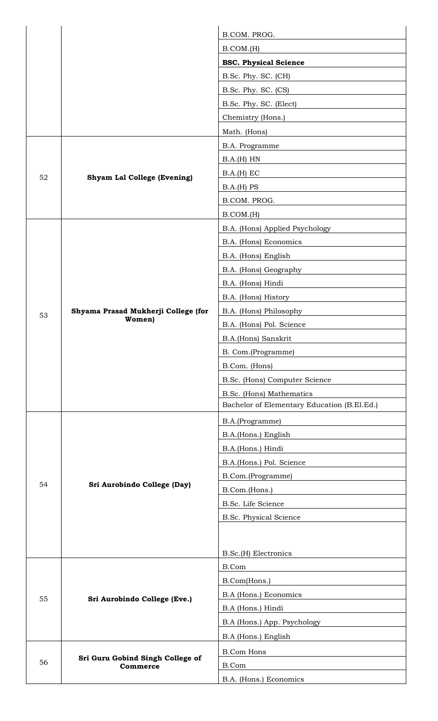|    |                                              | B.COM. PROG.                                     |
|----|----------------------------------------------|--------------------------------------------------|
|    |                                              | B. COM.(H)                                       |
|    |                                              | <b>BSC. Physical Science</b>                     |
|    |                                              | B.Sc. Phy. SC. (CH)                              |
|    |                                              | B.Sc. Phy. SC. (CS)                              |
|    |                                              | B.Sc. Phy. SC. (Elect)                           |
|    |                                              | Chemistry (Hons.)                                |
|    |                                              | Math. (Hons)                                     |
|    |                                              | B.A. Programme                                   |
|    | <b>Shyam Lal College (Evening)</b>           | B.A.(H) HN                                       |
| 52 |                                              | B.A.(H) EC                                       |
|    |                                              | B.A.(H) PS                                       |
|    |                                              | B.COM. PROG.                                     |
|    |                                              | B. COM.(H)                                       |
|    |                                              | B.A. (Hons) Applied Psychology                   |
|    |                                              | B.A. (Hons) Economics                            |
|    |                                              | B.A. (Hons) English                              |
|    |                                              | B.A. (Hons) Geography                            |
|    |                                              | B.A. (Hons) Hindi                                |
|    |                                              | B.A. (Hons) History                              |
| 53 | Shyama Prasad Mukherji College (for          | B.A. (Hons) Philosophy                           |
|    | Women)                                       | B.A. (Hons) Pol. Science                         |
|    |                                              | B.A.(Hons) Sanskrit                              |
|    |                                              | B. Com.(Programme)                               |
|    |                                              | B.Com. (Hons)                                    |
|    |                                              | B.Sc. (Hons) Computer Science                    |
|    |                                              | B.Sc. (Hons) Mathematics                         |
|    |                                              | Bachelor of Elementary Education (B.El.Ed.)      |
|    |                                              | B.A.(Programme)                                  |
|    | Sri Aurobindo College (Day)                  | B.A.(Hons.) English                              |
|    |                                              | B.A.(Hons.) Hindi                                |
|    |                                              | B.A.(Hons.) Pol. Science                         |
|    |                                              | B.Com.(Programme)                                |
| 54 |                                              | B.Com.(Hons.)                                    |
|    |                                              | B.Sc. Life Science                               |
|    |                                              | B.Sc. Physical Science                           |
|    |                                              |                                                  |
|    |                                              |                                                  |
|    | Sri Aurobindo College (Eve.)                 | B.Sc.(H) Electronics<br>B.Com                    |
| 55 |                                              | B.Com(Hons.)                                     |
|    |                                              | B.A (Hons.) Economics                            |
|    |                                              |                                                  |
|    |                                              | B.A (Hons.) Hindi<br>B.A (Hons.) App. Psychology |
|    |                                              |                                                  |
| 56 | Sri Guru Gobind Singh College of<br>Commerce | B.A (Hons.) English                              |
|    |                                              | <b>B.Com Hons</b>                                |
|    |                                              | B.Com                                            |
|    |                                              | B.A. (Hons.) Economics                           |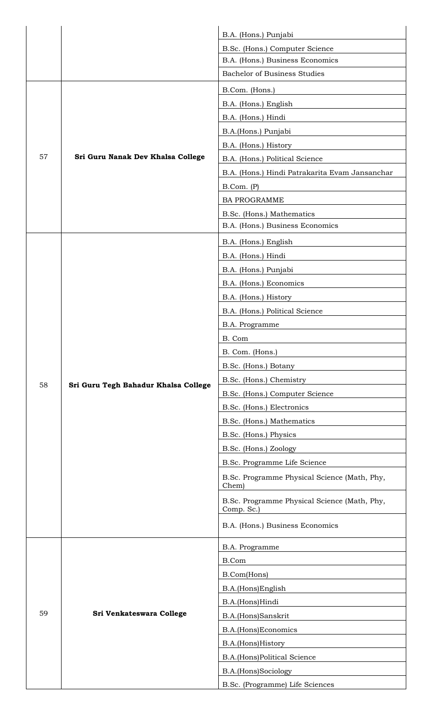|    |                                      | B.A. (Hons.) Punjabi                                       |
|----|--------------------------------------|------------------------------------------------------------|
|    |                                      | B.Sc. (Hons.) Computer Science                             |
|    |                                      | B.A. (Hons.) Business Economics                            |
|    |                                      | <b>Bachelor of Business Studies</b>                        |
|    |                                      | B.Com. (Hons.)                                             |
|    |                                      | B.A. (Hons.) English                                       |
|    |                                      | B.A. (Hons.) Hindi                                         |
|    |                                      | B.A.(Hons.) Punjabi                                        |
|    |                                      | B.A. (Hons.) History                                       |
| 57 | Sri Guru Nanak Dev Khalsa College    | B.A. (Hons.) Political Science                             |
|    |                                      | B.A. (Hons.) Hindi Patrakarita Evam Jansanchar             |
|    |                                      | B.Com. (P)                                                 |
|    |                                      | <b>BA PROGRAMME</b>                                        |
|    |                                      | B.Sc. (Hons.) Mathematics                                  |
|    |                                      | B.A. (Hons.) Business Economics                            |
|    |                                      | B.A. (Hons.) English                                       |
|    |                                      | B.A. (Hons.) Hindi                                         |
|    |                                      | B.A. (Hons.) Punjabi                                       |
|    |                                      | B.A. (Hons.) Economics                                     |
|    |                                      | B.A. (Hons.) History                                       |
|    |                                      | B.A. (Hons.) Political Science                             |
|    |                                      | B.A. Programme                                             |
|    |                                      | B. Com                                                     |
|    |                                      | B. Com. (Hons.)                                            |
|    |                                      | B.Sc. (Hons.) Botany                                       |
| 58 | Sri Guru Tegh Bahadur Khalsa College | B.Sc. (Hons.) Chemistry                                    |
|    |                                      | B.Sc. (Hons.) Computer Science                             |
|    |                                      | B.Sc. (Hons.) Electronics                                  |
|    |                                      | B.Sc. (Hons.) Mathematics                                  |
|    |                                      | B.Sc. (Hons.) Physics                                      |
|    |                                      | B.Sc. (Hons.) Zoology                                      |
|    |                                      | B.Sc. Programme Life Science                               |
|    |                                      | B.Sc. Programme Physical Science (Math, Phy,<br>Chem)      |
|    |                                      | B.Sc. Programme Physical Science (Math, Phy,<br>Comp. Sc.) |
|    |                                      | B.A. (Hons.) Business Economics                            |
|    |                                      | B.A. Programme                                             |
|    |                                      | B.Com                                                      |
|    |                                      | B.Com(Hons)                                                |
|    |                                      | B.A.(Hons)English                                          |
|    |                                      | B.A.(Hons)Hindi                                            |
| 59 | Sri Venkateswara College             | B.A.(Hons)Sanskrit                                         |
|    |                                      | B.A.(Hons)Economics                                        |
|    |                                      | B.A.(Hons)History                                          |
|    |                                      | B.A.(Hons)Political Science                                |
|    |                                      | B.A.(Hons)Sociology                                        |
|    |                                      | B.Sc. (Programme) Life Sciences                            |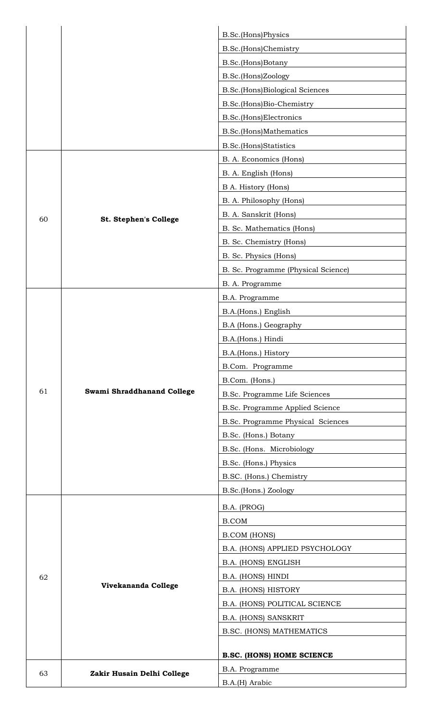|    |                            | B.Sc.(Hons)Physics                  |
|----|----------------------------|-------------------------------------|
|    |                            | B.Sc.(Hons)Chemistry                |
|    |                            | B.Sc.(Hons)Botany                   |
|    |                            | B.Sc.(Hons)Zoology                  |
|    |                            | B.Sc.(Hons)Biological Sciences      |
|    |                            | B.Sc.(Hons)Bio-Chemistry            |
|    |                            | B.Sc.(Hons)Electronics              |
|    |                            | B.Sc.(Hons)Mathematics              |
|    |                            | <b>B.Sc.</b> (Hons)Statistics       |
|    |                            | B. A. Economics (Hons)              |
|    |                            | B. A. English (Hons)                |
|    |                            | B A. History (Hons)                 |
|    |                            | B. A. Philosophy (Hons)             |
|    |                            | B. A. Sanskrit (Hons)               |
| 60 | St. Stephen's College      | B. Sc. Mathematics (Hons)           |
|    |                            | B. Sc. Chemistry (Hons)             |
|    |                            | B. Sc. Physics (Hons)               |
|    |                            | B. Sc. Programme (Physical Science) |
|    |                            | B. A. Programme                     |
|    |                            | B.A. Programme                      |
|    |                            | B.A.(Hons.) English                 |
|    |                            | B.A (Hons.) Geography               |
|    |                            | B.A.(Hons.) Hindi                   |
|    |                            | B.A.(Hons.) History                 |
|    |                            | B.Com. Programme                    |
|    |                            | B.Com. (Hons.)                      |
| 61 | Swami Shraddhanand College | B.Sc. Programme Life Sciences       |
|    |                            | B.Sc. Programme Applied Science     |
|    |                            | B.Sc. Programme Physical Sciences   |
|    |                            | B.Sc. (Hons.) Botany                |
|    |                            | B.Sc. (Hons. Microbiology           |
|    |                            | B.Sc. (Hons.) Physics               |
|    |                            | B.SC. (Hons.) Chemistry             |
|    |                            | B.Sc.(Hons.) Zoology                |
|    | Vivekananda College        | B.A. (PROG)                         |
|    |                            | <b>B.COM</b>                        |
|    |                            | <b>B.COM (HONS)</b>                 |
| 62 |                            | B.A. (HONS) APPLIED PSYCHOLOGY      |
|    |                            | B.A. (HONS) ENGLISH                 |
|    |                            | B.A. (HONS) HINDI                   |
|    |                            | B.A. (HONS) HISTORY                 |
|    |                            | B.A. (HONS) POLITICAL SCIENCE       |
|    |                            | B.A. (HONS) SANSKRIT                |
|    |                            | B.SC. (HONS) MATHEMATICS            |
|    |                            |                                     |
|    |                            | <b>B.SC. (HONS) HOME SCIENCE</b>    |
| 63 | Zakir Husain Delhi College | B.A. Programme                      |
|    |                            | B.A.(H) Arabic                      |